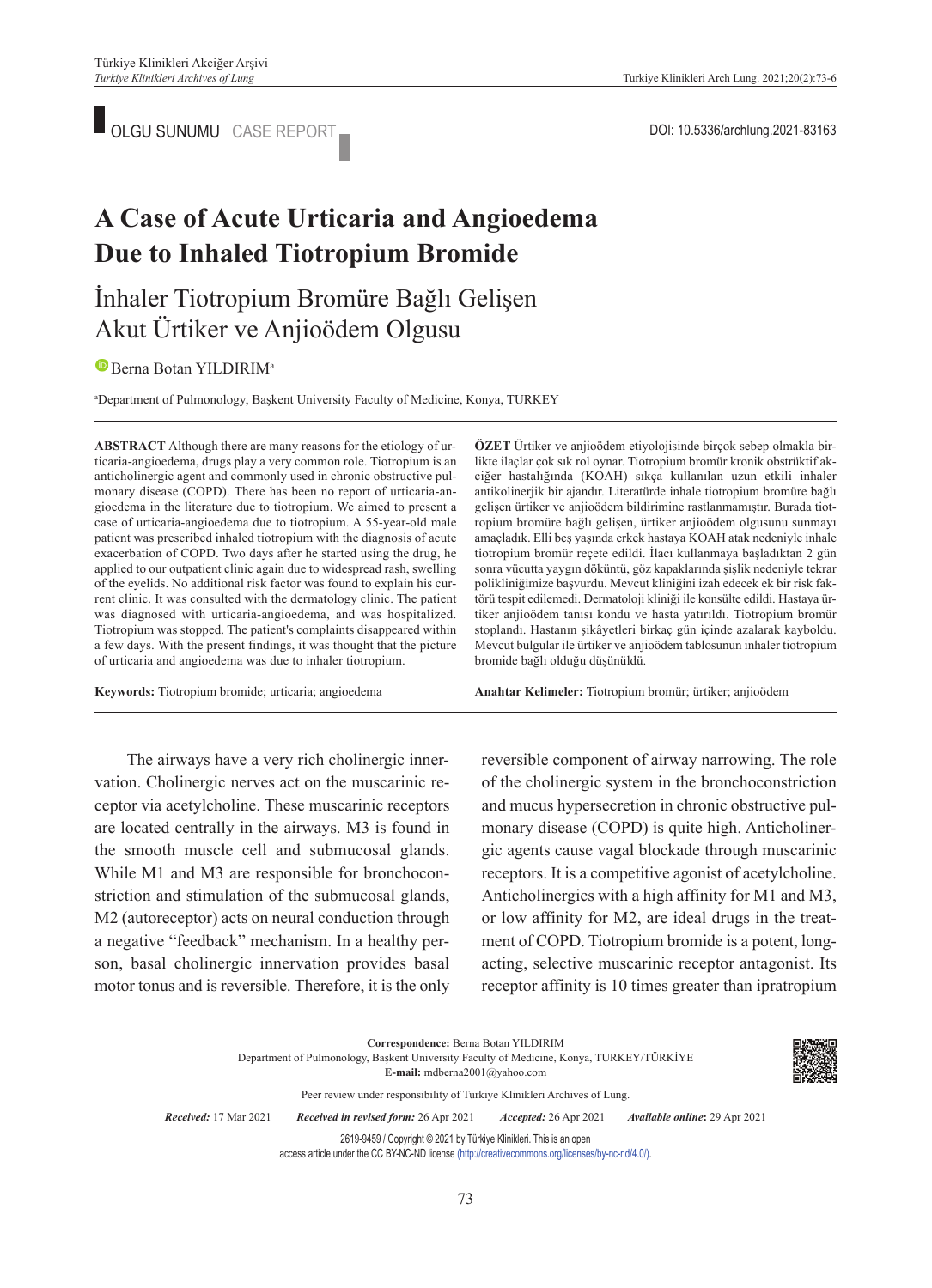OLGU SUNUMU CASE REPORT **DOI:** 10.5336/archlung.2021-83163

# **A Case of Acute Urticaria and Angioedema Due to Inhaled Tiotropium Bromide**

## İnhaler Tiotropium Bromüre Bağlı Gelişen Akut Ürtiker ve Anjioödem Olgusu

### **B**Berna Botan YILDIRIM<sup>a</sup>

a Department of Pulmonology, Başkent University Faculty of Medicine, Konya, TURKEY

**ABS TRACT** Although there are many reasons for the etiology of urticaria-angioedema, drugs play a very common role. Tiotropium is an anticholinergic agent and commonly used in chronic obstructive pulmonary disease (COPD). There has been no report of urticaria-angioedema in the literature due to tiotropium. We aimed to present a case of urticaria-angioedema due to tiotropium. A 55-year-old male patient was prescribed inhaled tiotropium with the diagnosis of acute exacerbation of COPD. Two days after he started using the drug, he applied to our outpatient clinic again due to widespread rash, swelling of the eyelids. No additional risk factor was found to explain his current clinic. It was consulted with the dermatology clinic. The patient was diagnosed with urticaria-angioedema, and was hospitalized. Tiotropium was stopped. The patient's complaints disappeared within a few days. With the present findings, it was thought that the picture of urticaria and angioedema was due to inhaler tiotropium.

**Keywords:** Tiotropium bromide; urticaria; angioedema

**ÖZET** Ürtiker ve anjioödem etiyolojisinde birçok sebep olmakla birlikte ilaçlar çok sık rol oynar. Tiotropium bromür kronik obstrüktif akciğer hastalığında (KOAH) sıkça kullanılan uzun etkili inhaler antikolinerjik bir ajandır. Literatürde inhale tiotropium bromüre bağlı gelişen ürtiker ve anjioödem bildirimine rastlanmamıştır. Burada tiotropium bromüre bağlı gelişen, ürtiker anjioödem olgusunu sunmayı amaçladık. Elli beş yaşında erkek hastaya KOAH atak nedeniyle inhale tiotropium bromür reçete edildi. İlacı kullanmaya başladıktan 2 gün sonra vücutta yaygın döküntü, göz kapaklarında şişlik nedeniyle tekrar polikliniğimize başvurdu. Mevcut kliniğini izah edecek ek bir risk faktörü tespit edilemedi. Dermatoloji kliniği ile konsülte edildi. Hastaya ürtiker anjioödem tanısı kondu ve hasta yatırıldı. Tiotropium bromür stoplandı. Hastanın şikâyetleri birkaç gün içinde azalarak kayboldu. Mevcut bulgular ile ürtiker ve anjioödem tablosunun inhaler tiotropium bromide bağlı olduğu düşünüldü.

Anahtar Kelimeler: Tiotropium bromür; ürtiker; anjioödem

The airways have a very rich cholinergic innervation. Cholinergic nerves act on the muscarinic receptor via acetylcholine. These muscarinic receptors are located centrally in the airways. M3 is found in the smooth muscle cell and submucosal glands. While M1 and M3 are responsible for bronchoconstriction and stimulation of the submucosal glands, M2 (autoreceptor) acts on neural conduction through a negative "feedback" mechanism. In a healthy person, basal cholinergic innervation provides basal motor tonus and is reversible. Therefore, it is the only reversible component of airway narrowing. The role of the cholinergic system in the bronchoconstriction and mucus hypersecretion in chronic obstructive pulmonary disease (COPD) is quite high. Anticholinergic agents cause vagal blockade through muscarinic receptors. It is a competitive agonist of acetylcholine. Anticholinergics with a high affinity for M1 and M3, or low affinity for M2, are ideal drugs in the treatment of COPD. Tiotropium bromide is a potent, longacting, selective muscarinic receptor antagonist. Its receptor affinity is 10 times greater than ipratropium

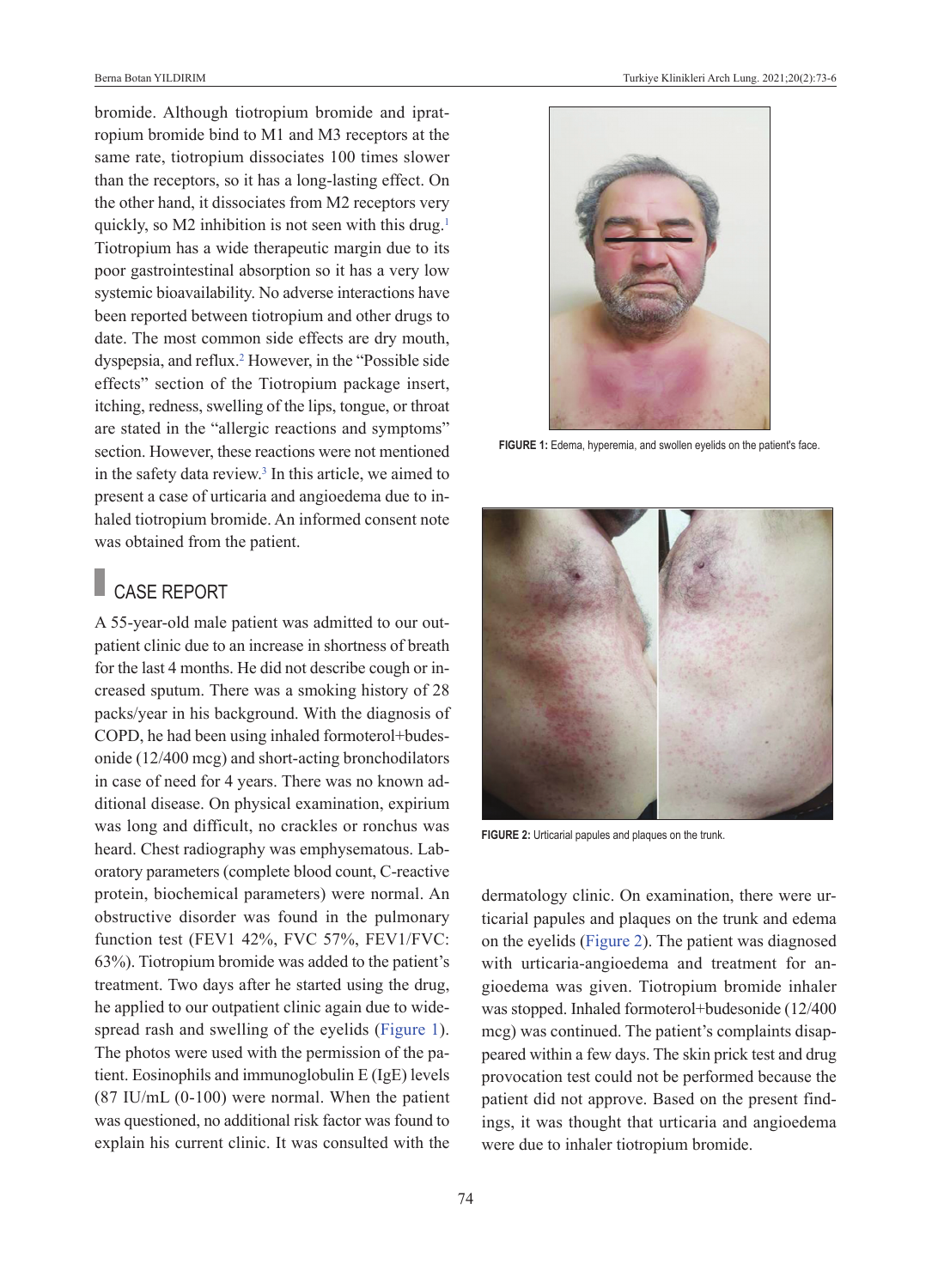bromide. Although tiotropium bromide and ipratropium bromide bind to M1 and M3 receptors at the same rate, tiotropium dissociates 100 times slower than the receptors, so it has a long-lasting effect. On the other hand, it dissociates from M2 receptors very quickly, so M2 inhibition is not seen with this drug.<sup>1</sup> Tiotropium has a wide therapeutic margin due to its poor gastrointestinal absorption so it has a very low systemic bioavailability. No adverse interactions have been reported between tiotropium and other drugs to date. The most common side effects are dry mouth, dyspepsia, and reflux[.2](#page-3-0) However, in the "Possible side effects" section of the Tiotropium package insert, itching, redness, swelling of the lips, tongue, or throat are stated in the "allergic reactions and symptoms" section. However, these reactions were not mentioned in the safety data review.<sup>3</sup> In this article, we aimed to present a case of urticaria and angioedema due to inhaled tiotropium bromide. An informed consent note was obtained from the patient.

## CASE REPORT

A 55-year-old male patient was admitted to our outpatient clinic due to an increase in shortness of breath for the last 4 months. He did not describe cough or increased sputum. There was a smoking history of 28 packs/year in his background. With the diagnosis of COPD, he had been using inhaled formoterol+budesonide (12/400 mcg) and short-acting bronchodilators in case of need for 4 years. There was no known additional disease. On physical examination, expirium was long and difficult, no crackles or ronchus was heard. Chest radiography was emphysematous. Laboratory parameters (complete blood count, C-reactive protein, biochemical parameters) were normal. An obstructive disorder was found in the pulmonary function test (FEV1 42%, FVC 57%, FEV1/FVC: 63%). Tiotropium bromide was added to the patient's treatment. Two days after he started using the drug, he applied to our outpatient clinic again due to widespread rash and swelling of the eyelids [\(Figure 1\)](#page-1-0). The photos were used with the permission of the patient. Eosinophils and immunoglobulin E (IgE) levels (87 IU/mL (0-100) were normal. When the patient was questioned, no additional risk factor was found to explain his current clinic. It was consulted with the



FIGURE 1: Edema, hyperemia, and swollen eyelids on the patient's face.

<span id="page-1-0"></span>

**FIGURE 2:** Urticarial papules and plaques on the trunk.

<span id="page-1-1"></span>dermatology clinic. On examination, there were urticarial papules and plaques on the trunk and edema on the eyelids [\(Figure 2\)](#page-1-1). The patient was diagnosed with urticaria-angioedema and treatment for angioedema was given. Tiotropium bromide inhaler was stopped. Inhaled formoterol+budesonide (12/400 mcg) was continued. The patient's complaints disappeared within a few days. The skin prick test and drug provocation test could not be performed because the patient did not approve. Based on the present findings, it was thought that urticaria and angioedema were due to inhaler tiotropium bromide.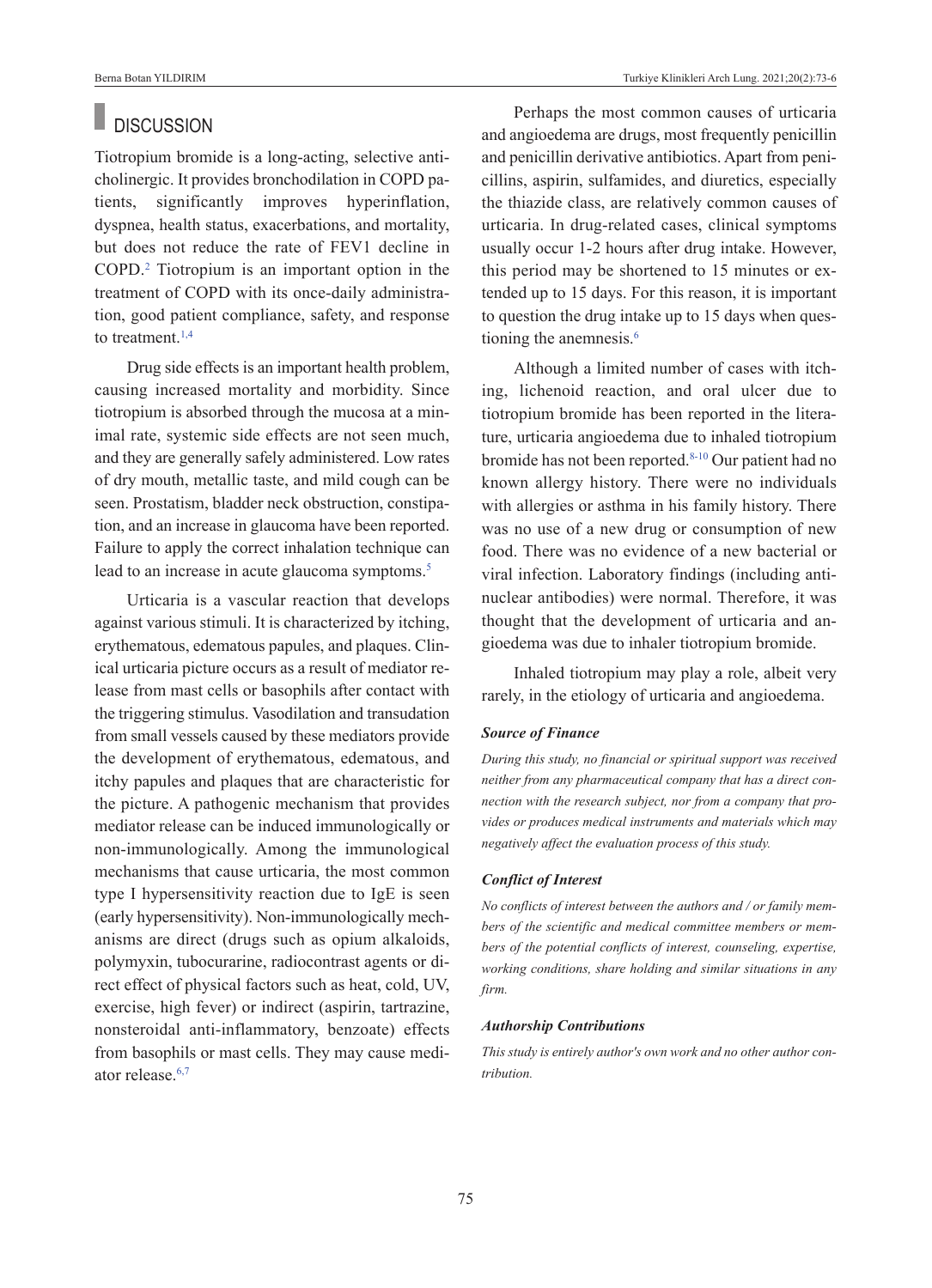### **DISCUSSION**

Tiotropium bromide is a long-acting, selective anticholinergic. It provides bronchodilation in COPD patients, significantly improves hyperinflation, dyspnea, health status, exacerbations, and mortality, but does not reduce the rate of FEV1 decline in COPD[.2](#page-3-0) Tiotropium is an important option in the treatment of COPD with its once-daily administration, good patient compliance, safety, and response to treatment. $1,4$ 

Drug side effects is an important health problem, causing increased mortality and morbidity. Since tiotropium is absorbed through the mucosa at a minimal rate, systemic side effects are not seen much, and they are generally safely administered. Low rates of dry mouth, metallic taste, and mild cough can be seen. Prostatism, bladder neck obstruction, constipation, and an increase in glaucoma have been reported. Failure to apply the correct inhalation technique can lead to an increase in acute glaucoma symptoms.<sup>5</sup>

Urticaria is a vascular reaction that develops against various stimuli. It is characterized by itching, erythematous, edematous papules, and plaques. Clinical urticaria picture occurs as a result of mediator release from mast cells or basophils after contact with the triggering stimulus. Vasodilation and transudation from small vessels caused by these mediators provide the development of erythematous, edematous, and itchy papules and plaques that are characteristic for the picture. A pathogenic mechanism that provides mediator release can be induced immunologically or non-immunologically. Among the immunological mechanisms that cause urticaria, the most common type I hypersensitivity reaction due to IgE is seen (early hypersensitivity). Non-immunologically mechanisms are direct (drugs such as opium alkaloids, polymyxin, tubocurarine, radiocontrast agents or direct effect of physical factors such as heat, cold, UV, exercise, high fever) or indirect (aspirin, tartrazine, nonsteroidal anti-inflammatory, benzoate) effects from basophils or mast cells. They may cause mediator release.<sup>6,7</sup>

Perhaps the most common causes of urticaria and angioedema are drugs, most frequently penicillin and penicillin derivative antibiotics. Apart from penicillins, aspirin, sulfamides, and diuretics, especially the thiazide class, are relatively common causes of urticaria. In drug-related cases, clinical symptoms usually occur 1-2 hours after drug intake. However, this period may be shortened to 15 minutes or extended up to 15 days. For this reason, it is important to question the drug intake up to 15 days when questioning the anemnesis.<sup>6</sup>

Although a limited number of cases with itching, lichenoid reaction, and oral ulcer due to tiotropium bromide has been reported in the literature, urticaria angioedema due to inhaled tiotropium bromide has not been reported.<sup>8-10</sup> Our patient had no known allergy history. There were no individuals with allergies or asthma in his family history. There was no use of a new drug or consumption of new food. There was no evidence of a new bacterial or viral infection. Laboratory findings (including antinuclear antibodies) were normal. Therefore, it was thought that the development of urticaria and angioedema was due to inhaler tiotropium bromide.

Inhaled tiotropium may play a role, albeit very rarely, in the etiology of urticaria and angioedema.

### *Source of Finance*

*During this study, no financial or spiritual support was received neither from any pharmaceutical company that has a direct connection with the research subject, nor from a company that provides or produces medical instruments and materials which may negatively affect the evaluation process of this study.* 

### *Conflict of Interest*

*No conflicts of interest between the authors and / or family members of the scientific and medical committee members or members of the potential conflicts of interest, counseling, expertise, working conditions, share holding and similar situations in any firm.* 

#### *Authorship Contributions*

*This study is entirely author's own work and no other author contribution.*